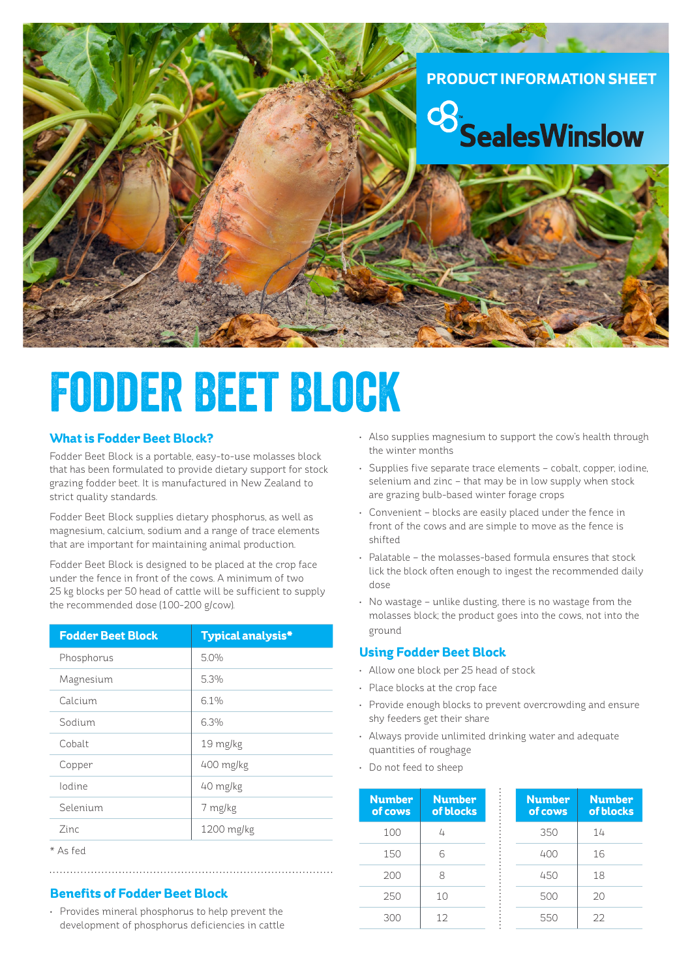# **PRODUCT INFORMATION SHEET**



# Fodder Beet Block

#### **What is Fodder Beet Block?**

Fodder Beet Block is a portable, easy-to-use molasses block that has been formulated to provide dietary support for stock grazing fodder beet. It is manufactured in New Zealand to strict quality standards.

Fodder Beet Block supplies dietary phosphorus, as well as magnesium, calcium, sodium and a range of trace elements that are important for maintaining animal production.

Fodder Beet Block is designed to be placed at the crop face under the fence in front of the cows. A minimum of two 25 kg blocks per 50 head of cattle will be sufficient to supply the recommended dose (100-200 g/cow).

| <b>Fodder Beet Block</b> | <b>Typical analysis*</b> |  |
|--------------------------|--------------------------|--|
| Phosphorus               | 5.0%                     |  |
| Magnesium                | 5.3%                     |  |
| Calcium                  | 61%                      |  |
| Sodium                   | 6.3%                     |  |
| Cobalt                   | 19 mg/kg                 |  |
| Copper                   | 400 mg/kg                |  |
| lodine                   | 40 mg/kg                 |  |
| Selenium                 | 7 mg/kg                  |  |
| 7inc                     | 1200 mg/kg               |  |
|                          |                          |  |

<sup>\*</sup> As fed

### **Benefits of Fodder Beet Block**

• Provides mineral phosphorus to help prevent the development of phosphorus deficiencies in cattle

- Also supplies magnesium to support the cow's health through the winter months
- Supplies five separate trace elements cobalt, copper, iodine, selenium and zinc – that may be in low supply when stock are grazing bulb-based winter forage crops
- Convenient blocks are easily placed under the fence in front of the cows and are simple to move as the fence is shifted
- Palatable the molasses-based formula ensures that stock lick the block often enough to ingest the recommended daily dose
- No wastage unlike dusting, there is no wastage from the molasses block; the product goes into the cows, not into the ground

#### **Using Fodder Beet Block**

- Allow one block per 25 head of stock
- Place blocks at the crop face
- Provide enough blocks to prevent overcrowding and ensure shy feeders get their share
- Always provide unlimited drinking water and adequate quantities of roughage
- Do not feed to sheep

| <b>Number</b><br>of cows | <b>Number</b><br>of blocks |
|--------------------------|----------------------------|
| 100                      | 4                          |
| 150                      | հ                          |
| 200                      | R                          |
| 250                      | 10                         |
| 300                      | 12                         |

| <b>Number</b><br>of cows | <b>Number</b><br>of blocks |
|--------------------------|----------------------------|
| 350                      | 14                         |
| 400                      | 16                         |
| 450                      | 18                         |
| 500                      | 20                         |
| 550                      | フフ                         |